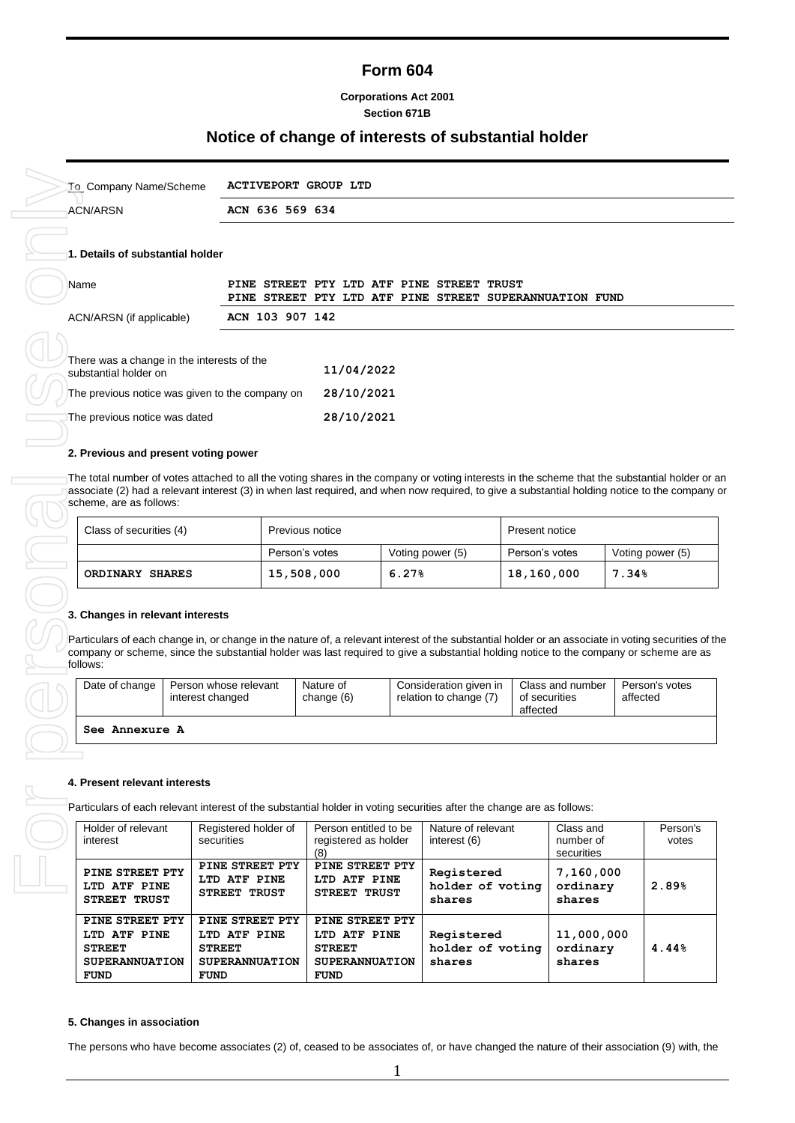## **Form 604**

#### **Corporations Act 2001 Section 671B**

## **Notice of change of interests of substantial holder**

|          | <b>ACN/ARSN</b>                                                                                                                                                                                                    |                  |                                                 | ACN 636 569 634 |                         |                              |                                               |                                                                                                      |                |                                      |       |                                     |
|----------|--------------------------------------------------------------------------------------------------------------------------------------------------------------------------------------------------------------------|------------------|-------------------------------------------------|-----------------|-------------------------|------------------------------|-----------------------------------------------|------------------------------------------------------------------------------------------------------|----------------|--------------------------------------|-------|-------------------------------------|
|          |                                                                                                                                                                                                                    |                  |                                                 |                 |                         |                              |                                               |                                                                                                      |                |                                      |       |                                     |
|          | 1. Details of substantial holder                                                                                                                                                                                   |                  |                                                 |                 |                         |                              |                                               |                                                                                                      |                |                                      |       |                                     |
| Name     |                                                                                                                                                                                                                    |                  |                                                 |                 |                         |                              |                                               | PINE STREET PTY LTD ATF PINE STREET TRUST<br>PINE STREET PTY LTD ATF PINE STREET SUPERANNUATION FUND |                |                                      |       |                                     |
|          | ACN/ARSN (if applicable)                                                                                                                                                                                           |                  |                                                 | ACN 103 907 142 |                         |                              |                                               |                                                                                                      |                |                                      |       |                                     |
|          | There was a change in the interests of the<br>substantial holder on                                                                                                                                                |                  |                                                 |                 |                         | 11/04/2022                   |                                               |                                                                                                      |                |                                      |       |                                     |
|          | The previous notice was given to the company on                                                                                                                                                                    |                  |                                                 |                 |                         | 28/10/2021                   |                                               |                                                                                                      |                |                                      |       |                                     |
|          | The previous notice was dated                                                                                                                                                                                      |                  |                                                 |                 |                         | 28/10/2021                   |                                               |                                                                                                      |                |                                      |       |                                     |
|          | 2. Previous and present voting power                                                                                                                                                                               |                  |                                                 |                 |                         |                              |                                               |                                                                                                      |                |                                      |       |                                     |
|          | scheme, are as follows:<br>Class of securities (4)                                                                                                                                                                 |                  |                                                 |                 | Previous notice         |                              |                                               |                                                                                                      | Present notice |                                      |       |                                     |
|          |                                                                                                                                                                                                                    |                  |                                                 |                 | Person's votes          |                              |                                               | Voting power (5)                                                                                     | Person's votes |                                      |       | Voting power (5)                    |
|          |                                                                                                                                                                                                                    |                  |                                                 |                 |                         |                              |                                               |                                                                                                      |                |                                      |       |                                     |
|          | <b>ORDINARY SHARES</b><br>3. Changes in relevant interests<br>Particulars of each change in, or change in the nature of, a relevant interest of the substantial holder or an associate in voting securities of the |                  |                                                 |                 | 15,508,000              |                              | 6.27%                                         |                                                                                                      | 18,160,000     |                                      | 7.34% |                                     |
| follows: | company or scheme, since the substantial holder was last required to give a substantial holding notice to the company or scheme are as<br>Date of change                                                           | interest changed | Person whose relevant                           |                 | Nature of<br>change (6) |                              |                                               | Consideration given in<br>relation to change (7)                                                     | of securities  | Class and number                     |       | affected                            |
|          |                                                                                                                                                                                                                    |                  |                                                 |                 |                         |                              |                                               |                                                                                                      | affected       |                                      |       |                                     |
|          | See Annexure A                                                                                                                                                                                                     |                  |                                                 |                 |                         |                              |                                               |                                                                                                      |                |                                      |       |                                     |
|          |                                                                                                                                                                                                                    |                  |                                                 |                 |                         |                              |                                               |                                                                                                      |                |                                      |       |                                     |
|          | 4. Present relevant interests                                                                                                                                                                                      |                  |                                                 |                 |                         |                              |                                               |                                                                                                      |                |                                      |       |                                     |
|          | Particulars of each relevant interest of the substantial holder in voting securities after the change are as follows:                                                                                              |                  |                                                 |                 |                         |                              |                                               |                                                                                                      |                |                                      |       |                                     |
|          | Holder of relevant<br>interest                                                                                                                                                                                     |                  | Registered holder of<br>securities              |                 | (8)                     |                              | Person entitled to be<br>registered as holder | Nature of relevant<br>interest (6)                                                                   |                | Class and<br>number of<br>securities |       | Person's votes<br>Person's<br>votes |
|          | PINE STREET PTY<br>LTD ATF PINE<br>STREET TRUST                                                                                                                                                                    |                  | PINE STREET PTY<br>LTD ATF PINE<br>STREET TRUST |                 |                         | LTD ATF PINE<br>STREET TRUST | PINE STREET PTY                               | Registered<br>holder of voting<br>shares                                                             |                | 7,160,000<br>ordinary<br>shares      |       | 2.89%                               |

| substantial nolder on                           | <b>11/09/4044</b> |
|-------------------------------------------------|-------------------|
| The previous notice was given to the company on | 28/10/2021        |
| The previous notice was dated                   | 28/10/2021        |

#### **2. Previous and present voting power**

| Class of securities (4) | Previous notice |                  | Present notice |                  |  |
|-------------------------|-----------------|------------------|----------------|------------------|--|
|                         | Person's votes  | Voting power (5) | Person's votes | Voting power (5) |  |
| ORDINARY SHARES         | 15,508,000      | 6.27%            | 18,160,000     | $7.34\%$         |  |

#### **3. Changes in relevant interests**

| Date of change | Person whose relevant<br>interest changed | Nature of<br>change (6) | Consideration given in<br>relation to change (7) | Class and number<br>of securities<br>affected | Person's votes<br>affected |  |  |
|----------------|-------------------------------------------|-------------------------|--------------------------------------------------|-----------------------------------------------|----------------------------|--|--|
| See Annexure A |                                           |                         |                                                  |                                               |                            |  |  |

#### **4. Present relevant interests**

| Holder of relevant<br>interest                                                           | Registered holder of<br>securities                                                       | Person entitled to be<br>registered as holder<br>(8)                                     | Nature of relevant<br>interest (6)       | Class and<br>number of<br>securities | Person's<br>votes |
|------------------------------------------------------------------------------------------|------------------------------------------------------------------------------------------|------------------------------------------------------------------------------------------|------------------------------------------|--------------------------------------|-------------------|
| PINE STREET PTY<br>LTD ATF PINE<br><b>STREET TRUST</b>                                   | PINE STREET PTY<br>LTD ATF PINE<br>STREET TRUST                                          | PINE STREET PTY<br>LTD ATF PINE<br>STREET TRUST                                          | Registered<br>holder of voting<br>shares | 7,160,000<br>ordinary<br>shares      | 2.89%             |
| PINE STREET PTY<br>LTD ATF PINE<br><b>STREET</b><br><b>SUPERANNUATION</b><br><b>FUND</b> | PINE STREET PTY<br>LTD ATF PINE<br><b>STREET</b><br><b>SUPERANNUATION</b><br><b>FUND</b> | PINE STREET PTY<br>LTD ATF PINE<br><b>STREET</b><br><b>SUPERANNUATION</b><br><b>FUND</b> | Registered<br>holder of voting<br>shares | 11,000,000<br>ordinary<br>shares     | 4.44%             |

#### **5. Changes in association**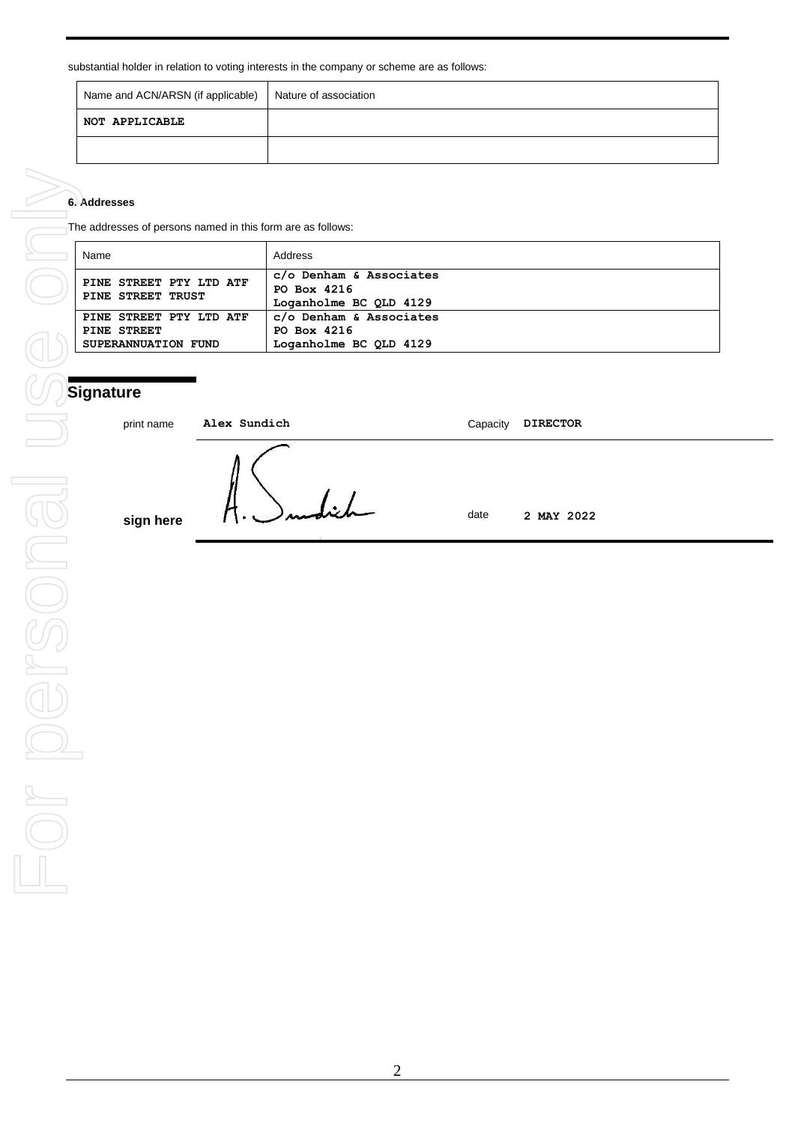| Name and ACN/ARSN (if applicable) | Nature of association |
|-----------------------------------|-----------------------|
| NOT APPLICABLE                    |                       |
|                                   |                       |

### **6. Addresses**

The addresses of persons named in this form are as follows:

| Name                                                          | Address                                                          |
|---------------------------------------------------------------|------------------------------------------------------------------|
| PINE STREET PTY LTD ATF<br>PINE STREET TRUST                  | c/o Denham & Associates<br>PO Box 4216<br>Loganholme BC QLD 4129 |
| PINE STREET PTY LTD ATF<br>PINE STREET<br>SUPERANNUATION FUND | c/o Denham & Associates<br>PO Box 4216<br>Loganholme BC QLD 4129 |

# **Signature**

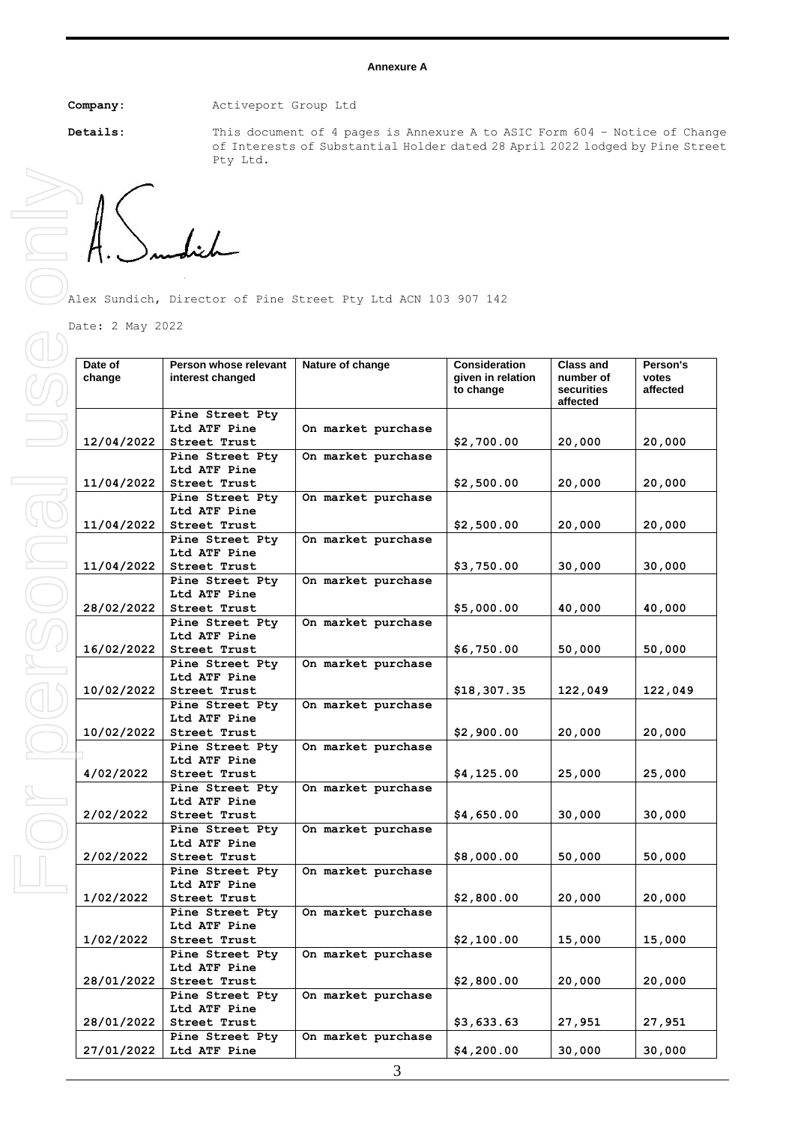#### **Annexure A**

**Company:** Activeport Group Ltd

**Details:** This document of 4 pages is Annexure A to ASIC Form 604 – Notice of Change of Interests of Substantial Holder dated 28 April 2022 lodged by Pine Street Pty Ltd**.** 

Alex Sundich, Director of Pine Street Pty Ltd ACN 103 907 142

Date: 2 May 2022

| Date of<br>change | Person whose relevant<br>interest changed | Nature of change   | <b>Consideration</b><br>given in relation<br>to change | <b>Class and</b><br>number of<br>securities<br>affected | Person's<br>votes<br>affected |
|-------------------|-------------------------------------------|--------------------|--------------------------------------------------------|---------------------------------------------------------|-------------------------------|
|                   | Pine Street Pty                           |                    |                                                        |                                                         |                               |
| 12/04/2022        | Ltd ATF Pine<br>Street Trust              | On market purchase | \$2,700.00                                             | 20,000                                                  | 20,000                        |
|                   | Pine Street Pty                           | On market purchase |                                                        |                                                         |                               |
|                   | Ltd ATF Pine                              |                    |                                                        |                                                         |                               |
| 11/04/2022        | Street Trust                              |                    | \$2,500.00                                             | 20,000                                                  | 20,000                        |
|                   | Pine Street Pty                           | On market purchase |                                                        |                                                         |                               |
|                   | Ltd ATF Pine                              |                    |                                                        |                                                         |                               |
| 11/04/2022        | Street Trust                              |                    | \$2,500.00                                             | 20,000                                                  | 20,000                        |
|                   | Pine Street Pty                           | On market purchase |                                                        |                                                         |                               |
|                   | Ltd ATF Pine                              |                    |                                                        |                                                         |                               |
| 11/04/2022        | Street Trust                              |                    | \$3,750.00                                             | 30,000                                                  | 30,000                        |
|                   | Pine Street Pty                           | On market purchase |                                                        |                                                         |                               |
| 28/02/2022        | Ltd ATF Pine<br>Street Trust              |                    | \$5,000.00                                             | 40,000                                                  | 40,000                        |
|                   | Pine Street Pty                           | On market purchase |                                                        |                                                         |                               |
|                   | Ltd ATF Pine                              |                    |                                                        |                                                         |                               |
| 16/02/2022        | Street Trust                              |                    | \$6,750.00                                             | 50,000                                                  | 50,000                        |
|                   | Pine Street Pty                           | On market purchase |                                                        |                                                         |                               |
|                   | Ltd ATF Pine                              |                    |                                                        |                                                         |                               |
| 10/02/2022        | Street Trust                              |                    | \$18,307.35                                            | 122,049                                                 | 122,049                       |
|                   | Pine Street Pty                           | On market purchase |                                                        |                                                         |                               |
|                   | Ltd ATF Pine                              |                    |                                                        |                                                         |                               |
| 10/02/2022        | Street Trust                              |                    | \$2,900.00                                             | 20,000                                                  | 20,000                        |
|                   | Pine Street Pty<br>Ltd ATF Pine           | On market purchase |                                                        |                                                         |                               |
| 4/02/2022         | Street Trust                              |                    | \$4,125.00                                             | 25,000                                                  | 25,000                        |
|                   | Pine Street Pty                           | On market purchase |                                                        |                                                         |                               |
|                   | Ltd ATF Pine                              |                    |                                                        |                                                         |                               |
| 2/02/2022         | Street Trust                              |                    | \$4,650.00                                             | 30,000                                                  | 30,000                        |
|                   | Pine Street Pty                           | On market purchase |                                                        |                                                         |                               |
|                   | Ltd ATF Pine                              |                    |                                                        |                                                         |                               |
| 2/02/2022         | Street Trust                              |                    | \$8,000.00                                             | 50,000                                                  | 50,000                        |
|                   | Pine Street Pty                           | On market purchase |                                                        |                                                         |                               |
|                   | Ltd ATF Pine                              |                    |                                                        |                                                         |                               |
| 1/02/2022         | Street Trust<br>Pine Street Pty           | On market purchase | \$2,800.00                                             | 20,000                                                  | 20,000                        |
|                   | Ltd ATF Pine                              |                    |                                                        |                                                         |                               |
| 1/02/2022         | Street Trust                              |                    | \$2,100.00                                             | 15,000                                                  | 15,000                        |
|                   | Pine Street Pty                           | On market purchase |                                                        |                                                         |                               |
|                   | Ltd ATF Pine                              |                    |                                                        |                                                         |                               |
| 28/01/2022        | Street Trust                              |                    | \$2,800.00                                             | 20,000                                                  | 20,000                        |
|                   | Pine Street Pty                           | On market purchase |                                                        |                                                         |                               |
|                   | Ltd ATF Pine                              |                    |                                                        |                                                         |                               |
| 28/01/2022        | Street Trust                              |                    | \$3,633.63                                             | 27,951                                                  | 27,951                        |
|                   | Pine Street Pty                           | On market purchase |                                                        |                                                         |                               |
| 27/01/2022        | Ltd ATF Pine                              |                    | \$4,200.00                                             | 30,000                                                  | 30,000                        |

For personal use only FOR DOFESONOL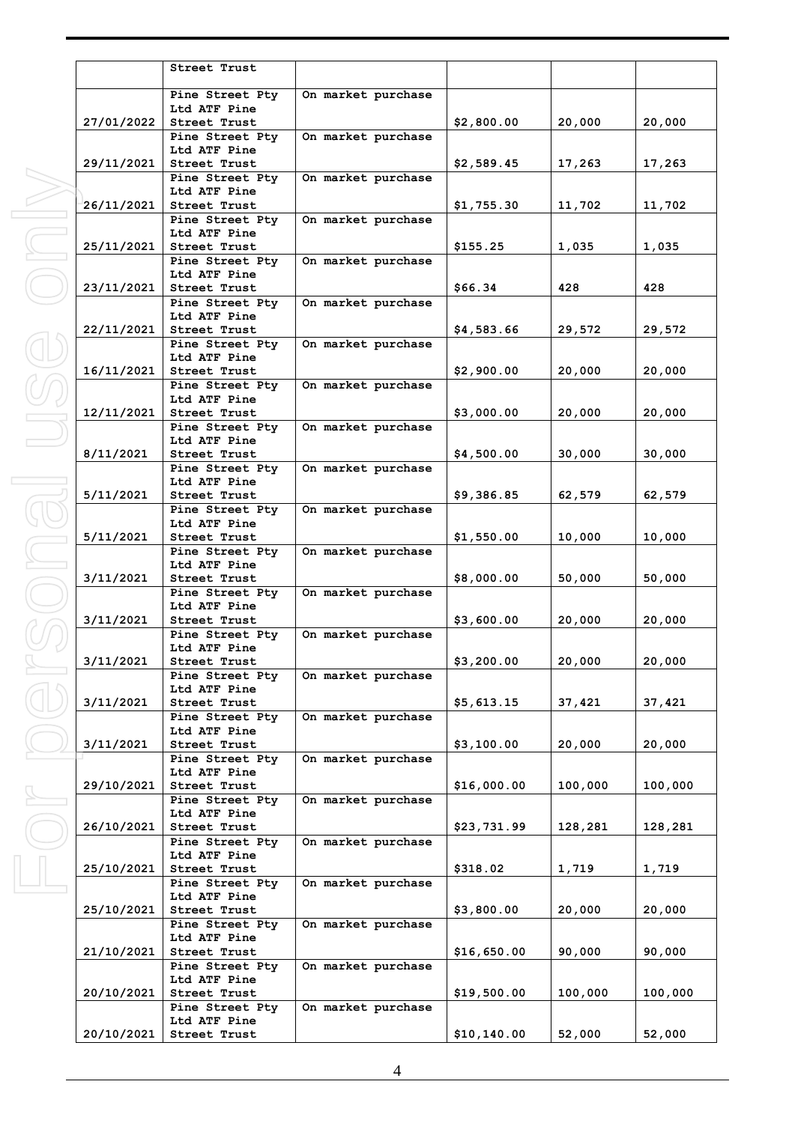|            | Street Trust                    |                    |             |         |         |
|------------|---------------------------------|--------------------|-------------|---------|---------|
|            | Pine Street Pty                 | On market purchase |             |         |         |
|            | Ltd ATF Pine                    |                    |             |         |         |
| 27/01/2022 | <b>Street Trust</b>             |                    | \$2,800.00  | 20,000  | 20,000  |
|            | Pine Street Pty                 | On market purchase |             |         |         |
| 29/11/2021 | Ltd ATF Pine<br>Street Trust    |                    | \$2,589.45  | 17,263  | 17,263  |
|            | Pine Street Pty                 | On market purchase |             |         |         |
|            | Ltd ATF Pine                    |                    |             |         |         |
| 26/11/2021 | Street Trust                    |                    | \$1,755.30  | 11,702  | 11,702  |
|            | Pine Street Pty                 | On market purchase |             |         |         |
| 25/11/2021 | Ltd ATF Pine<br>Street Trust    |                    | \$155.25    | 1,035   | 1,035   |
|            | Pine Street Pty                 | On market purchase |             |         |         |
|            | Ltd ATF Pine                    |                    |             |         |         |
| 23/11/2021 | Street Trust                    |                    | \$66.34     | 428     | 428     |
|            | Pine Street Pty<br>Ltd ATF Pine | On market purchase |             |         |         |
| 22/11/2021 | Street Trust                    |                    | \$4,583.66  | 29,572  | 29,572  |
|            | Pine Street Pty                 | On market purchase |             |         |         |
|            | Ltd ATF Pine                    |                    |             |         |         |
| 16/11/2021 | Street Trust                    |                    | \$2,900.00  | 20,000  | 20,000  |
|            | Pine Street Pty<br>Ltd ATF Pine | On market purchase |             |         |         |
| 12/11/2021 | Street Trust                    |                    | \$3,000.00  | 20,000  | 20,000  |
|            | Pine Street Pty                 | On market purchase |             |         |         |
|            | Ltd ATF Pine                    |                    |             |         |         |
| 8/11/2021  | Street Trust                    |                    | \$4,500.00  | 30,000  | 30,000  |
|            | Pine Street Pty<br>Ltd ATF Pine | On market purchase |             |         |         |
| 5/11/2021  | Street Trust                    |                    | \$9,386.85  | 62,579  | 62,579  |
|            | Pine Street Pty                 | On market purchase |             |         |         |
|            | Ltd ATF Pine                    |                    |             |         |         |
| 5/11/2021  | Street Trust                    |                    | \$1,550.00  | 10,000  | 10,000  |
|            | Pine Street Pty<br>Ltd ATF Pine | On market purchase |             |         |         |
| 3/11/2021  | <b>Street Trust</b>             |                    | \$8,000.00  | 50,000  | 50,000  |
|            | Pine Street Pty                 | On market purchase |             |         |         |
|            | Ltd ATF Pine                    |                    |             |         |         |
| 3/11/2021  | Street Trust                    |                    | \$3,600.00  | 20,000  | 20,000  |
|            | Pine Street Pty<br>Ltd ATF Pine | On market purchase |             |         |         |
| 3/11/2021  | Street Trust                    |                    | \$3,200.00  | 20,000  | 20,000  |
|            | Pine Street Pty                 | On market purchase |             |         |         |
|            | Ltd ATF Pine                    |                    |             |         |         |
| 3/11/2021  | Street Trust                    |                    | \$5,613.15  | 37,421  | 37,421  |
|            | Pine Street Pty<br>Ltd ATF Pine | On market purchase |             |         |         |
| 3/11/2021  | Street Trust                    |                    | \$3,100.00  | 20,000  | 20,000  |
|            | Pine Street Pty                 | On market purchase |             |         |         |
|            | Ltd ATF Pine                    |                    |             |         |         |
| 29/10/2021 | Street Trust                    |                    | \$16,000.00 | 100,000 | 100,000 |
|            | Pine Street Pty<br>Ltd ATF Pine | On market purchase |             |         |         |
| 26/10/2021 | Street Trust                    |                    | \$23,731.99 | 128,281 | 128,281 |
|            | Pine Street Pty                 | On market purchase |             |         |         |
|            | Ltd ATF Pine                    |                    |             |         |         |
| 25/10/2021 | Street Trust                    |                    | \$318.02    | 1,719   | 1,719   |
|            | Pine Street Pty<br>Ltd ATF Pine | On market purchase |             |         |         |
| 25/10/2021 | Street Trust                    |                    | \$3,800.00  | 20,000  | 20,000  |
|            | Pine Street Pty                 | On market purchase |             |         |         |
|            | Ltd ATF Pine                    |                    |             |         |         |
| 21/10/2021 | Street Trust<br>Pine Street Pty | On market purchase | \$16,650.00 | 90,000  | 90,000  |
|            | Ltd ATF Pine                    |                    |             |         |         |
| 20/10/2021 | Street Trust                    |                    | \$19,500.00 | 100,000 | 100,000 |
|            | Pine Street Pty                 | On market purchase |             |         |         |
|            | Ltd ATF Pine                    |                    |             |         |         |
| 20/10/2021 | Street Trust                    |                    | \$10,140.00 | 52,000  | 52,000  |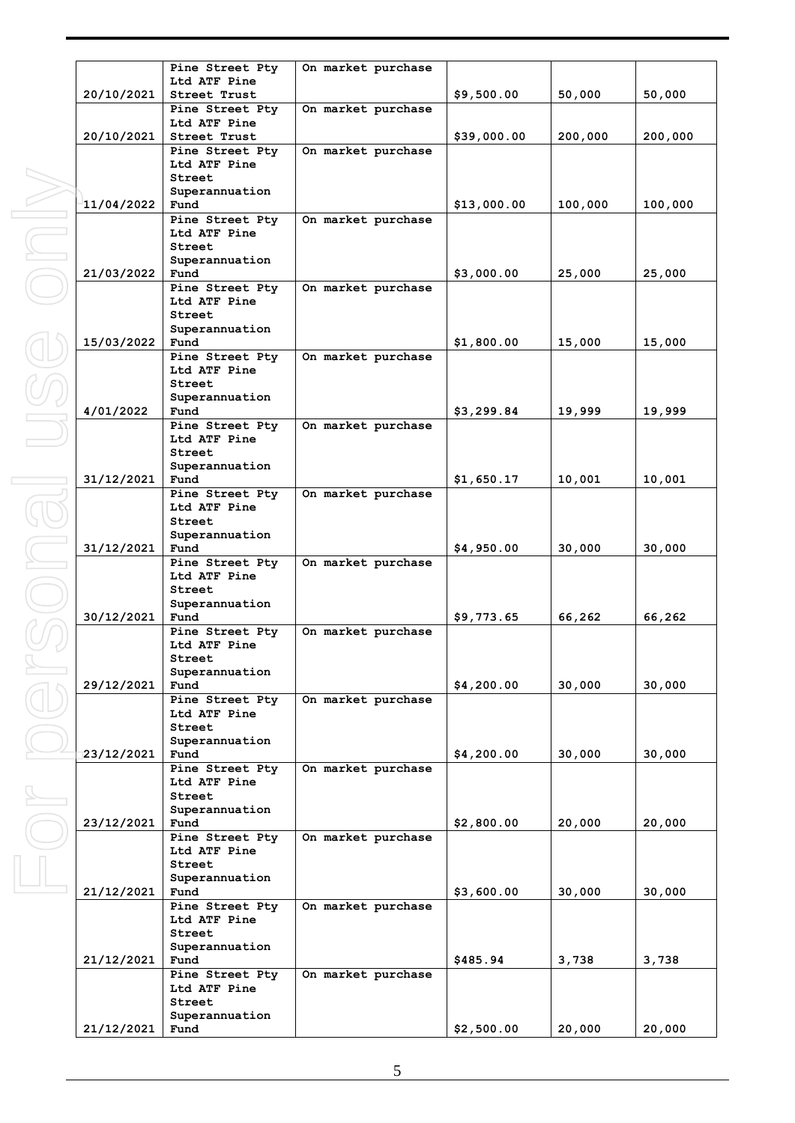|            | Pine Street Pty                 | On market purchase |             |         |         |
|------------|---------------------------------|--------------------|-------------|---------|---------|
| 20/10/2021 | Ltd ATF Pine<br>Street Trust    |                    | \$9,500.00  | 50,000  | 50,000  |
|            | Pine Street Pty                 | On market purchase |             |         |         |
| 20/10/2021 | Ltd ATF Pine<br>Street Trust    |                    |             |         |         |
|            | Pine Street Pty                 | On market purchase | \$39,000.00 | 200,000 | 200,000 |
|            | Ltd ATF Pine                    |                    |             |         |         |
|            | Street<br>Superannuation        |                    |             |         |         |
| 11/04/2022 | Fund                            |                    | \$13,000.00 | 100,000 | 100,000 |
|            | Pine Street Pty                 | On market purchase |             |         |         |
|            | Ltd ATF Pine<br>Street          |                    |             |         |         |
|            | Superannuation                  |                    |             |         |         |
| 21/03/2022 | Fund                            |                    | \$3,000.00  | 25,000  | 25,000  |
|            | Pine Street Pty<br>Ltd ATF Pine | On market purchase |             |         |         |
|            | Street                          |                    |             |         |         |
| 15/03/2022 | Superannuation<br>Fund          |                    | \$1,800.00  | 15,000  | 15,000  |
|            | Pine Street Pty                 | On market purchase |             |         |         |
|            | Ltd ATF Pine<br>Street          |                    |             |         |         |
|            | Superannuation                  |                    |             |         |         |
| 4/01/2022  | Fund                            |                    | \$3,299.84  | 19,999  | 19,999  |
|            | Pine Street Pty<br>Ltd ATF Pine | On market purchase |             |         |         |
|            | Street                          |                    |             |         |         |
| 31/12/2021 | Superannuation<br>Fund          |                    | \$1,650.17  | 10,001  | 10,001  |
|            | Pine Street Pty                 | On market purchase |             |         |         |
|            | Ltd ATF Pine                    |                    |             |         |         |
|            | Street<br>Superannuation        |                    |             |         |         |
| 31/12/2021 | Fund                            |                    | \$4,950.00  | 30,000  | 30,000  |
|            | Pine Street Pty<br>Ltd ATF Pine | On market purchase |             |         |         |
|            | Street                          |                    |             |         |         |
| 30/12/2021 | Superannuation<br>Fund          |                    | \$9,773.65  |         | 66,262  |
|            | Pine Street Pty                 | On market purchase |             | 66,262  |         |
|            | Ltd ATF Pine                    |                    |             |         |         |
|            | Street<br>Superannuation        |                    |             |         |         |
| 29/12/2021 | Fund                            |                    | \$4,200.00  | 30,000  | 30,000  |
|            | Pine Street Pty<br>Ltd ATF Pine | On market purchase |             |         |         |
|            | Street                          |                    |             |         |         |
|            | Superannuation<br>Fund          |                    |             |         |         |
| 23/12/2021 | Pine Street Pty                 | On market purchase | \$4,200.00  | 30,000  | 30,000  |
|            | Ltd ATF Pine                    |                    |             |         |         |
|            | Street<br>Superannuation        |                    |             |         |         |
| 23/12/2021 | Fund                            |                    | \$2,800.00  | 20,000  | 20,000  |
|            | Pine Street Pty<br>Ltd ATF Pine | On market purchase |             |         |         |
|            | Street                          |                    |             |         |         |
|            | Superannuation                  |                    |             |         |         |
| 21/12/2021 | Fund<br>Pine Street Pty         | On market purchase | \$3,600.00  | 30,000  | 30,000  |
|            | Ltd ATF Pine                    |                    |             |         |         |
|            | Street<br>Superannuation        |                    |             |         |         |
| 21/12/2021 | Fund                            |                    | \$485.94    | 3,738   | 3,738   |
|            | Pine Street Pty<br>Ltd ATF Pine | On market purchase |             |         |         |
|            | Street                          |                    |             |         |         |
|            | Superannuation                  |                    |             |         |         |
| 21/12/2021 | Fund                            |                    | \$2,500.00  | 20,000  | 20,000  |